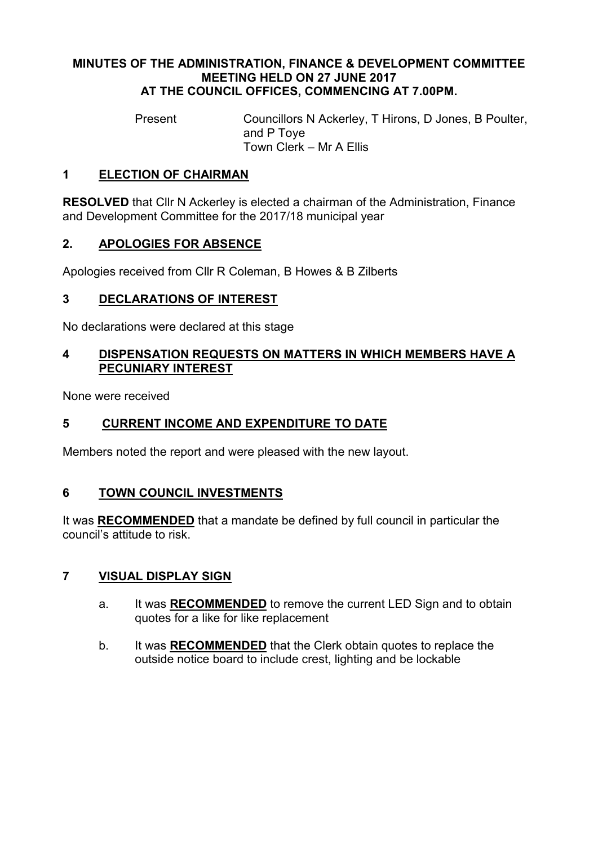#### MINUTES OF THE ADMINISTRATION, FINANCE & DEVELOPMENT COMMITTEE MEETING HELD ON 27 JUNE 2017 AT THE COUNCIL OFFICES, COMMENCING AT 7.00PM.

Present Councillors N Ackerley, T Hirons, D Jones, B Poulter, and P Toye Town Clerk – Mr A Ellis

### 1 ELECTION OF CHAIRMAN

RESOLVED that Cllr N Ackerley is elected a chairman of the Administration, Finance and Development Committee for the 2017/18 municipal year

#### 2. APOLOGIES FOR ABSENCE

Apologies received from Cllr R Coleman, B Howes & B Zilberts

#### 3 DECLARATIONS OF INTEREST

No declarations were declared at this stage

#### 4 DISPENSATION REQUESTS ON MATTERS IN WHICH MEMBERS HAVE A PECUNIARY INTEREST

None were received

#### 5 CURRENT INCOME AND EXPENDITURE TO DATE

Members noted the report and were pleased with the new layout.

#### 6 TOWN COUNCIL INVESTMENTS

It was RECOMMENDED that a mandate be defined by full council in particular the council's attitude to risk.

#### 7 VISUAL DISPLAY SIGN

- a. It was **RECOMMENDED** to remove the current LED Sign and to obtain quotes for a like for like replacement
- b. It was RECOMMENDED that the Clerk obtain quotes to replace the outside notice board to include crest, lighting and be lockable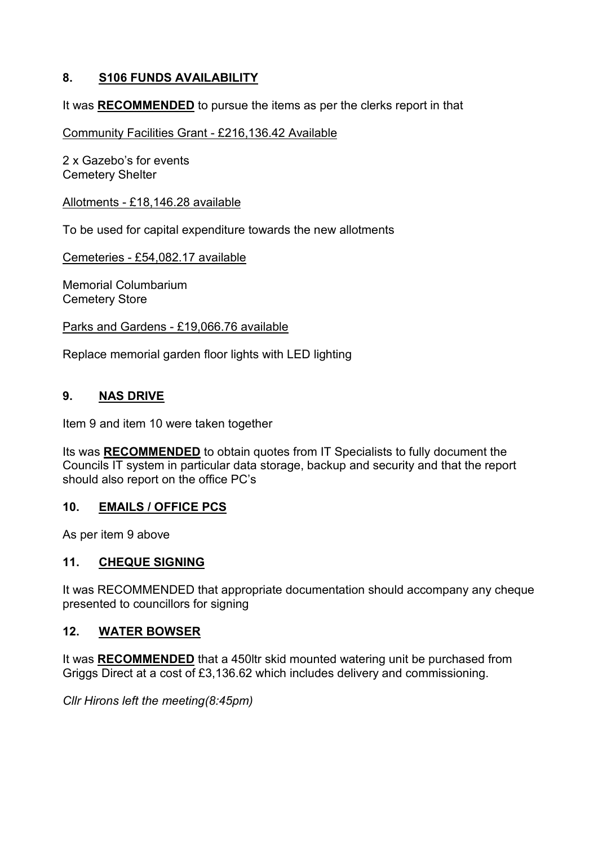## 8. S106 FUNDS AVAILABILITY

It was RECOMMENDED to pursue the items as per the clerks report in that

Community Facilities Grant - £216,136.42 Available

2 x Gazebo's for events Cemetery Shelter

Allotments - £18,146.28 available

To be used for capital expenditure towards the new allotments

Cemeteries - £54,082.17 available

Memorial Columbarium Cemetery Store

Parks and Gardens - £19,066.76 available

Replace memorial garden floor lights with LED lighting

# 9. NAS DRIVE

Item 9 and item 10 were taken together

Its was RECOMMENDED to obtain quotes from IT Specialists to fully document the Councils IT system in particular data storage, backup and security and that the report should also report on the office PC's

## 10. EMAILS / OFFICE PCS

As per item 9 above

#### 11. CHEQUE SIGNING

It was RECOMMENDED that appropriate documentation should accompany any cheque presented to councillors for signing

### 12. WATER BOWSER

It was RECOMMENDED that a 450ltr skid mounted watering unit be purchased from Griggs Direct at a cost of £3,136.62 which includes delivery and commissioning.

*Cllr Hirons left the meeting(8:45pm)*